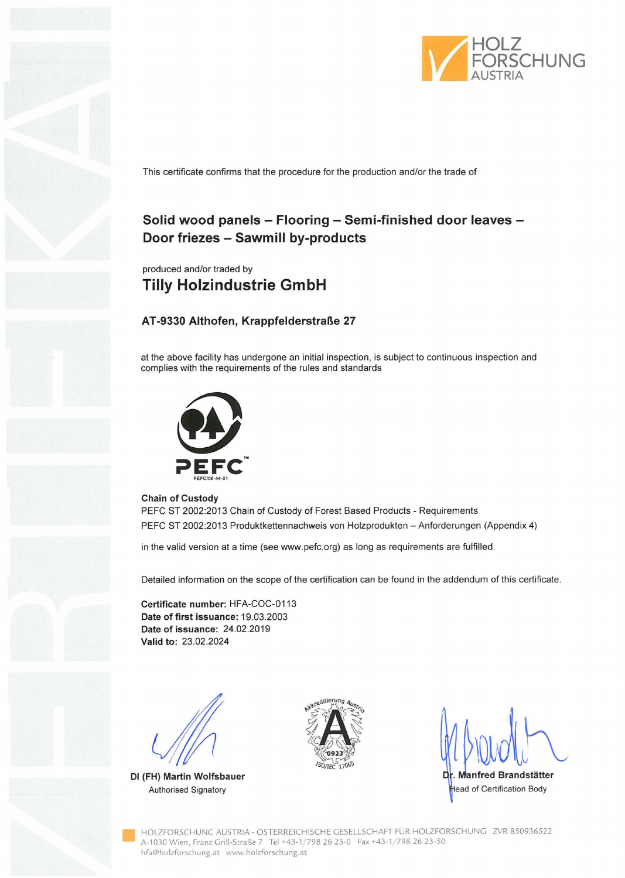

This certificate confirms that the procedure for the production and/or the trade of

# **Solid wood panels - Flooring - Semi-finished door leaves** - **Door friezes - Sawmill by-products**

produced and/or traded by **Tilly Holzindustrie GmbH** 

### **AT-9330 Althofen, Krappfelderstraße 27**

at the above facility has undergone an initial inspection, is subject to continuous inspection and complies with the requirements of the rules and standards



#### **Chain of Custody**

PEFC ST 2002:2013 Chain of Custody of Forest Based Products - Requirements PEFC ST 2002:2013 Produktkettennachweis von Holzprodukten - Anforderungen (Appendix 4)

in the valid version at a time (see www.pefc.org) as long as requirements are fulfilled.

Detailed information on the scope of the certification can be found in the addendum of this certificate.

**Certificate number:** HFA-COC-0113 **Date of first issuance:** 19.03.2003 **Date of issuance:** 24.02.2019 **Valid to:** 23.02.2024

**DI (FH) Martin Wolfsbauer** 



**Manfred Brandstätter** Authorised Signatory **Exercise Signatory** ead of Certification Body

• HOLZFORSCHUNG AUSTRIA - ÖSTERREICHISCHE GESELLSCHAFf FÜR HOLZFORSCHUNG ZVR 850936522 A-1030 Wien, Franz Grill-Straße 7 Tel +43-1 / 798 26 23-0 Fax +43-1 / 798 26 23-50 hfa@holzforschung.at www.holzforschung.at